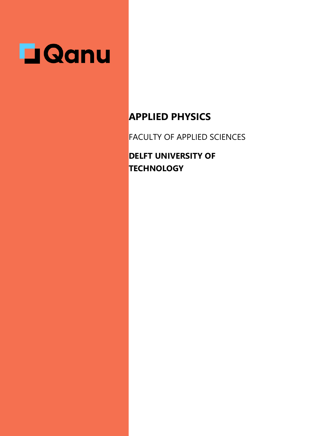

# **APPLIED PHYSICS**

FACULTY OF APPLIED SCIENCES

**DELFT UNIVERSITY OF TECHNOLOGY**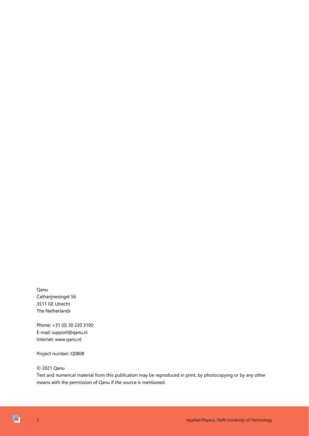Qanu Catharijnesingel 56 3511 GE Utrecht The Netherlands

Phone: +31 (0) 30 230 3100 E-mail: support@qanu.nl Internet: www.qanu.nl

Project number: Q0808

## © 2021 Qanu

Text and numerical material from this publication may be reproduced in print, by photocopying or by any other means with the permission of Qanu if the source is mentioned.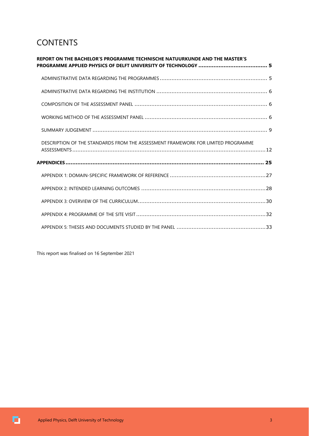# **CONTENTS**

| REPORT ON THE BACHELOR'S PROGRAMME TECHNISCHE NATUURKUNDE AND THE MASTER'S       |  |
|----------------------------------------------------------------------------------|--|
|                                                                                  |  |
|                                                                                  |  |
|                                                                                  |  |
|                                                                                  |  |
|                                                                                  |  |
| DESCRIPTION OF THE STANDARDS FROM THE ASSESSMENT FRAMEWORK FOR LIMITED PROGRAMME |  |
|                                                                                  |  |
|                                                                                  |  |
|                                                                                  |  |
|                                                                                  |  |
|                                                                                  |  |
|                                                                                  |  |

This report was finalised on 16 September 2021

o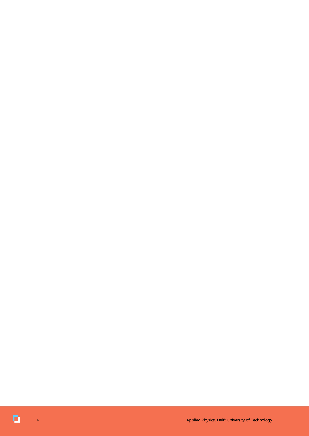

o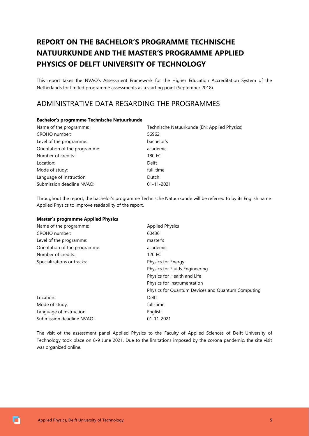# <span id="page-4-0"></span>**REPORT ON THE BACHELOR'S PROGRAMME TECHNISCHE NATUURKUNDE AND THE MASTER'S PROGRAMME APPLIED PHYSICS OF DELFT UNIVERSITY OF TECHNOLOGY**

This report takes the NVAO's Assessment Framework for the Higher Education Accreditation System of the Netherlands for limited programme assessments as a starting point (September 2018).

## <span id="page-4-1"></span>ADMINISTRATIVE DATA REGARDING THE PROGRAMMES

## **Bachelor's programme Technische Natuurkunde**

| Name of the programme:        | Technische Natuurkunde (EN: Applied Physics) |
|-------------------------------|----------------------------------------------|
| CROHO number:                 | 56962                                        |
| Level of the programme:       | bachelor's                                   |
| Orientation of the programme: | academic                                     |
| Number of credits:            | 180 EC                                       |
| Location:                     | Delft                                        |
| Mode of study:                | full-time                                    |
| Language of instruction:      | Dutch                                        |
| Submission deadline NVAO:     | $01 - 11 - 2021$                             |

Throughout the report, the bachelor's programme Technische Natuurkunde will be referred to by its English name Applied Physics to improve readability of the report.

## **Master's programme Applied Physics**

| Name of the programme:        | <b>Applied Physics</b>                            |
|-------------------------------|---------------------------------------------------|
| CROHO number:                 | 60436                                             |
| Level of the programme:       | master's                                          |
| Orientation of the programme: | academic                                          |
| Number of credits:            | 120 EC                                            |
| Specializations or tracks:    | Physics for Energy                                |
|                               | Physics for Fluids Engineering                    |
|                               | Physics for Health and Life                       |
|                               | Physics for Instrumentation                       |
|                               | Physics for Quantum Devices and Quantum Computing |
| Location:                     | Delft                                             |
| Mode of study:                | full-time                                         |
| Language of instruction:      | English                                           |
| Submission deadline NVAO:     | 01-11-2021                                        |
|                               |                                                   |

The visit of the assessment panel Applied Physics to the Faculty of Applied Sciences of Delft University of Technology took place on 8-9 June 2021. Due to the limitations imposed by the corona pandemic, the site visit was organized online.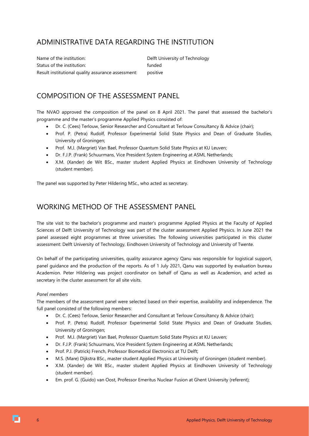## <span id="page-5-0"></span>ADMINISTRATIVE DATA REGARDING THE INSTITUTION

Name of the institution: Name of the institution: Delft University of Technology Status of the institution: The institution of the institution: Result institutional quality assurance assessment: positive

## <span id="page-5-1"></span>COMPOSITION OF THE ASSESSMENT PANEL

The NVAO approved the composition of the panel on 8 April 2021. The panel that assessed the bachelor's programme and the master's programme Applied Physics consisted of:

- Dr. C. (Cees) Terlouw, Senior Researcher and Consultant at Terlouw Consultancy & Advice (chair);
- Prof. P. (Petra) Rudolf, Professor Experimental Solid State Physics and Dean of Graduate Studies, University of Groningen;
- Prof. M.J. (Margriet) Van Bael, Professor Quantum Solid State Physics at KU Leuven;
- Dr. F.J.P. (Frank) Schuurmans, Vice President System Engineering at ASML Netherlands;
- X.M. (Xander) de Wit BSc., master student Applied Physics at Eindhoven University of Technology (student member).

The panel was supported by Peter Hildering MSc., who acted as secretary.

## <span id="page-5-2"></span>WORKING METHOD OF THE ASSESSMENT PANEL

The site visit to the bachelor's programme and master's programme Applied Physics at the Faculty of Applied Sciences of Delft University of Technology was part of the cluster assessment Applied Physics. In June 2021 the panel assessed eight programmes at three universities. The following universities participated in this cluster assessment: Delft University of Technology, Eindhoven University of Technology and University of Twente.

On behalf of the participating universities, quality assurance agency Qanu was responsible for logistical support, panel guidance and the production of the reports. As of 1 July 2021, Qanu was supported by evaluation bureau Academion. Peter Hildering was project coordinator on behalf of Qanu as well as Academion, and acted as secretary in the cluster assessment for all site visits.

## *Panel members*

The members of the assessment panel were selected based on their expertise, availability and independence. The full panel consisted of the following members:

- Dr. C. (Cees) Terlouw, Senior Researcher and Consultant at Terlouw Consultancy & Advice (chair);
- Prof. P. (Petra) Rudolf, Professor Experimental Solid State Physics and Dean of Graduate Studies, University of Groningen;
- Prof. M.J. (Margriet) Van Bael, Professor Quantum Solid State Physics at KU Leuven;
- Dr. F.J.P. (Frank) Schuurmans, Vice President System Engineering at ASML Netherlands;
- Prof. P.J. (Patrick) French, Professor Biomedical Electronics at TU Delft;
- M.S. (Mare) Dijkstra BSc., master student Applied Physics at University of Groningen (student member).
- X.M. (Xander) de Wit BSc., master student Applied Physics at Eindhoven University of Technology (student member).
- Em. prof. G. (Guido) van Oost, Professor Emeritus Nuclear Fusion at Ghent University (referent);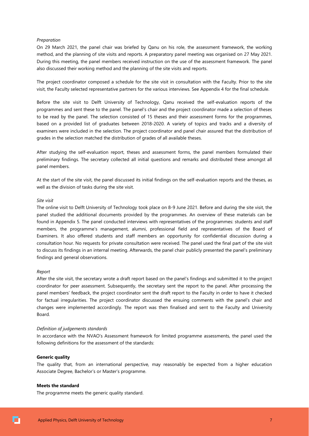#### *Preparation*

On 29 March 2021, the panel chair was briefed by Qanu on his role, the assessment framework, the working method, and the planning of site visits and reports. A preparatory panel meeting was organised on 27 May 2021. During this meeting, the panel members received instruction on the use of the assessment framework. The panel also discussed their working method and the planning of the site visits and reports.

The project coordinator composed a schedule for the site visit in consultation with the Faculty. Prior to the site visit, the Faculty selected representative partners for the various interviews. See Appendix 4 for the final schedule.

Before the site visit to Delft University of Technology, Qanu received the self-evaluation reports of the programmes and sent these to the panel. The panel's chair and the project coordinator made a selection of theses to be read by the panel. The selection consisted of 15 theses and their assessment forms for the programmes, based on a provided list of graduates between 2018-2020. A variety of topics and tracks and a diversity of examiners were included in the selection. The project coordinator and panel chair assured that the distribution of grades in the selection matched the distribution of grades of all available theses.

After studying the self-evaluation report, theses and assessment forms, the panel members formulated their preliminary findings. The secretary collected all initial questions and remarks and distributed these amongst all panel members.

At the start of the site visit, the panel discussed its initial findings on the self-evaluation reports and the theses, as well as the division of tasks during the site visit.

#### *Site visit*

The online visit to Delft University of Technology took place on 8-9 June 2021. Before and during the site visit, the panel studied the additional documents provided by the programmes. An overview of these materials can be found in Appendix 5. The panel conducted interviews with representatives of the programmes: students and staff members, the programme's management, alumni, professional field and representatives of the Board of Examiners. It also offered students and staff members an opportunity for confidential discussion during a consultation hour. No requests for private consultation were received. The panel used the final part of the site visit to discuss its findings in an internal meeting. Afterwards, the panel chair publicly presented the panel's preliminary findings and general observations.

#### *Report*

After the site visit, the secretary wrote a draft report based on the panel's findings and submitted it to the project coordinator for peer assessment. Subsequently, the secretary sent the report to the panel. After processing the panel members' feedback, the project coordinator sent the draft report to the Faculty in order to have it checked for factual irregularities. The project coordinator discussed the ensuing comments with the panel's chair and changes were implemented accordingly. The report was then finalised and sent to the Faculty and University Board.

#### *Definition of judgements standards*

In accordance with the NVAO's Assessment framework for limited programme assessments, the panel used the following definitions for the assessment of the standards:

#### **Generic quality**

The quality that, from an international perspective, may reasonably be expected from a higher education Associate Degree, Bachelor's or Master's programme.

#### **Meets the standard**

The programme meets the generic quality standard.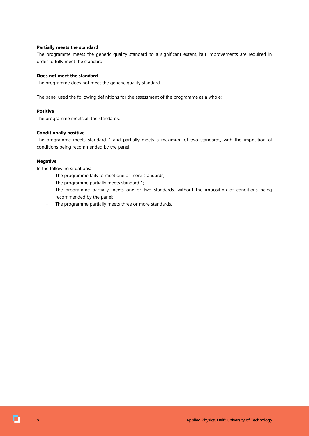### **Partially meets the standard**

The programme meets the generic quality standard to a significant extent, but improvements are required in order to fully meet the standard.

### **Does not meet the standard**

The programme does not meet the generic quality standard.

The panel used the following definitions for the assessment of the programme as a whole:

## **Positive**

The programme meets all the standards.

## **Conditionally positive**

The programme meets standard 1 and partially meets a maximum of two standards, with the imposition of conditions being recommended by the panel.

### **Negative**

In the following situations:

- The programme fails to meet one or more standards;
- The programme partially meets standard 1;
- The programme partially meets one or two standards, without the imposition of conditions being recommended by the panel;
- The programme partially meets three or more standards.

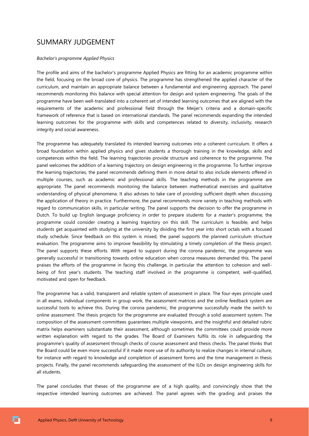## <span id="page-8-0"></span>SUMMARY JUDGEMENT

#### *Bachelor's programme Applied Physics*

The profile and aims of the bachelor's programme Applied Physics are fitting for an academic programme within the field, focusing on the broad core of physics. The programme has strengthened the applied character of the curriculum, and maintain an appropriate balance between a fundamental and engineering approach. The panel recommends monitoring this balance with special attention for design and system engineering. The goals of the programme have been well-translated into a coherent set of intended learning outcomes that are aligned with the requirements of the academic and professional field through the Meijer's criteria and a domain-specific framework of reference that is based on international standards. The panel recommends expanding the intended learning outcomes for the programme with skills and competences related to diversity, inclusivity, research integrity and social awareness.

The programme has adequately translated its intended learning outcomes into a coherent curriculum. It offers a broad foundation within applied physics and gives students a thorough training in the knowledge, skills and competences within the field. The learning trajectories provide structure and coherence to the programme. The panel welcomes the addition of a learning trajectory on design engineering in the programme. To further improve the learning trajectories, the panel recommends defining them in more detail to also include elements offered in multiple courses, such as academic and professional skills. The teaching methods in the programme are appropriate. The panel recommends monitoring the balance between mathematical exercises and qualitative understanding of physical phenomena. It also advises to take care of providing sufficient depth when discussing the application of theory in practice. Furthermore, the panel recommends more variety in teaching methods with regard to communication skills, in particular writing. The panel supports the decision to offer the programme in Dutch. To build up English language proficiency in order to prepare students for a master's programme, the programme could consider creating a learning trajectory on this skill. The curriculum is feasible, and helps students get acquainted with studying at the university by dividing the first year into short octals with a focused study schedule. Since feedback on this system is mixed, the panel supports the planned curriculum structure evaluation. The programme aims to improve feasibility by stimulating a timely completion of the thesis project. The panel supports these efforts. With regard to support during the corona pandemic, the programme was generally successful in transitioning towards online education when corona measures demanded this. The panel praises the efforts of the programme in facing this challenge, in particular the attention to cohesion and wellbeing of first year's students. The teaching staff involved in the programme is competent, well-qualified, motivated and open for feedback.

The programme has a valid, transparent and reliable system of assessment in place. The four-eyes principle used in all exams, individual components in group work, the assessment matrices and the online feedback system are successful tools to achieve this. During the corona pandemic, the programme successfully made the switch to online assessment. The thesis projects for the programme are evaluated through a solid assessment system. The composition of the assessment committees guarantees multiple viewpoints, and the insightful and detailed rubric matrix helps examiners substantiate their assessment, although sometimes the committees could provide more written explanation with regard to the grades. The Board of Examiners fulfils its role in safeguarding the programme's quality of assessment through checks of course assessment and thesis checks. The panel thinks that the Board could be even more successful if it made more use of its authority to realize changes in internal culture, for instance with regard to knowledge and completion of assessment forms and the time management in thesis projects. Finally, the panel recommends safeguarding the assessment of the ILOs on design engineering skills for all students.

The panel concludes that theses of the programme are of a high quality, and convincingly show that the respective intended learning outcomes are achieved. The panel agrees with the grading and praises the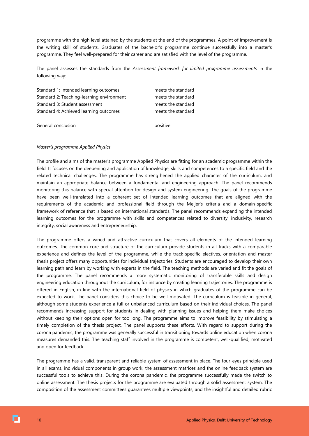programme with the high level attained by the students at the end of the programmes. A point of improvement is the writing skill of students. Graduates of the bachelor's programme continue successfully into a master's programme. They feel well-prepared for their career and are satisfied with the level of the programme.

The panel assesses the standards from the *Assessment framework for limited programme assessments* in the following way:

| Standard 1: Intended learning outcomes    | meets the standard |
|-------------------------------------------|--------------------|
| Standard 2: Teaching-learning environment | meets the standard |
| Standard 3: Student assessment            | meets the standard |
| Standard 4: Achieved learning outcomes    | meets the standard |
|                                           |                    |

General conclusion example and positive positive

### *Master's programme Applied Physics*

The profile and aims of the master's programme Applied Physics are fitting for an academic programme within the field. It focuses on the deepening and application of knowledge, skills and competences to a specific field and the related technical challenges. The programme has strengthened the applied character of the curriculum, and maintain an appropriate balance between a fundamental and engineering approach. The panel recommends monitoring this balance with special attention for design and system engineering. The goals of the programme have been well-translated into a coherent set of intended learning outcomes that are aligned with the requirements of the academic and professional field through the Meijer's criteria and a domain-specific framework of reference that is based on international standards. The panel recommends expanding the intended learning outcomes for the programme with skills and competences related to diversity, inclusivity, research integrity, social awareness and entrepreneurship.

The programme offers a varied and attractive curriculum that covers all elements of the intended learning outcomes. The common core and structure of the curriculum provide students in all tracks with a comparable experience and defines the level of the programme, while the track-specific electives, orientation and master thesis project offers many opportunities for individual trajectories. Students are encouraged to develop their own learning path and learn by working with experts in the field. The teaching methods are varied and fit the goals of the programme. The panel recommends a more systematic monitoring of transferable skills and design engineering education throughout the curriculum, for instance by creating learning trajectories. The programme is offered in English, in line with the international field of physics in which graduates of the programme can be expected to work. The panel considers this choice to be well-motivated. The curriculum is feasible in general, although some students experience a full or unbalanced curriculum based on their individual choices. The panel recommends increasing support for students in dealing with planning issues and helping them make choices without keeping their options open for too long. The programme aims to improve feasibility by stimulating a timely completion of the thesis project. The panel supports these efforts. With regard to support during the corona pandemic, the programme was generally successful in transitioning towards online education when corona measures demanded this. The teaching staff involved in the programme is competent, well-qualified, motivated and open for feedback.

The programme has a valid, transparent and reliable system of assessment in place. The four-eyes principle used in all exams, individual components in group work, the assessment matrices and the online feedback system are successful tools to achieve this. During the corona pandemic, the programme successfully made the switch to online assessment. The thesis projects for the programme are evaluated through a solid assessment system. The composition of the assessment committees guarantees multiple viewpoints, and the insightful and detailed rubric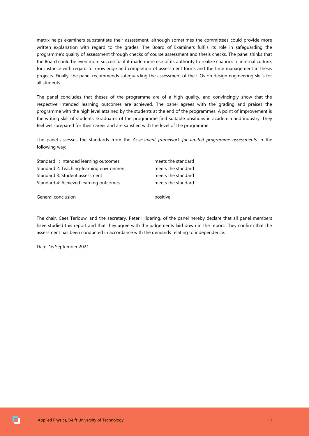matrix helps examiners substantiate their assessment, although sometimes the committees could provide more written explanation with regard to the grades. The Board of Examiners fulfils its role in safeguarding the programme's quality of assessment through checks of course assessment and thesis checks. The panel thinks that the Board could be even more successful if it made more use of its authority to realize changes in internal culture, for instance with regard to knowledge and completion of assessment forms and the time management in thesis projects. Finally, the panel recommends safeguarding the assessment of the ILOs on design engineering skills for all students.

The panel concludes that theses of the programme are of a high quality, and convincingly show that the respective intended learning outcomes are achieved. The panel agrees with the grading and praises the programme with the high level attained by the students at the end of the programmes. A point of improvement is the writing skill of students. Graduates of the programme find suitable positions in academia and industry. They feel well-prepared for their career and are satisfied with the level of the programme.

The panel assesses the standards from the *Assessment framework for limited programme assessments* in the following way:

| Standard 1: Intended learning outcomes    | meets the standard |
|-------------------------------------------|--------------------|
| Standard 2: Teaching-learning environment | meets the standard |
| Standard 3: Student assessment            | meets the standard |
| Standard 4: Achieved learning outcomes    | meets the standard |
|                                           |                    |
| General conclusion                        | positive           |

The chair, Cees Terlouw, and the secretary, Peter Hildering, of the panel hereby declare that all panel members have studied this report and that they agree with the judgements laid down in the report. They confirm that the assessment has been conducted in accordance with the demands relating to independence.

Date: 16 September 2021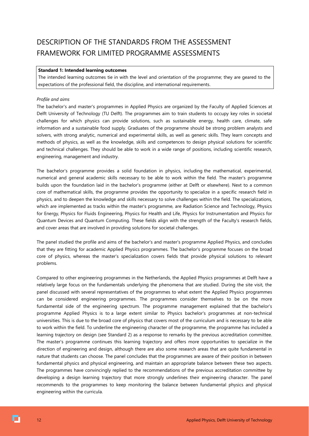# <span id="page-11-0"></span>DESCRIPTION OF THE STANDARDS FROM THE ASSESSMENT FRAMEWORK FOR LIMITED PROGRAMME ASSESSMENTS

### **Standard 1: Intended learning outcomes**

The intended learning outcomes tie in with the level and orientation of the programme; they are geared to the expectations of the professional field, the discipline, and international requirements.

## *Profile and aims*

The bachelor's and master's programmes in Applied Physics are organized by the Faculty of Applied Sciences at Delft University of Technology (TU Delft). The programmes aim to train students to occupy key roles in societal challenges for which physics can provide solutions, such as sustainable energy, health care, climate, safe information and a sustainable food supply. Graduates of the programme should be strong problem analysts and solvers, with strong analytic, numerical and experimental skills, as well as generic skills. They learn concepts and methods of physics, as well as the knowledge, skills and competences to design physical solutions for scientific and technical challenges. They should be able to work in a wide range of positions, including scientific research, engineering, management and industry.

The bachelor's programme provides a solid foundation in physics, including the mathematical, experimental, numerical and general academic skills necessary to be able to work within the field. The master's programme builds upon the foundation laid in the bachelor's programme (either at Delft or elsewhere). Next to a common core of mathematical skills, the programme provides the opportunity to specialize in a specific research field in physics, and to deepen the knowledge and skills necessary to solve challenges within the field. The specializations, which are implemented as tracks within the master's programme, are Radiation Science and Technology, Physics for Energy, Physics for Fluids Engineering, Physics for Health and Life, Physics for Instrumentation and Physics for Quantum Devices and Quantum Computing. These fields align with the strength of the Faculty's research fields, and cover areas that are involved in providing solutions for societal challenges.

The panel studied the profile and aims of the bachelor's and master's programme Applied Physics, and concludes that they are fitting for academic Applied Physics programmes. The bachelor's programme focuses on the broad core of physics, whereas the master's specialization covers fields that provide physical solutions to relevant problems.

Compared to other engineering programmes in the Netherlands, the Applied Physics programmes at Delft have a relatively large focus on the fundamentals underlying the phenomena that are studied. During the site visit, the panel discussed with several representatives of the programmes to what extent the Applied Physics programmes can be considered engineering programmes. The programmes consider themselves to be on the more fundamental side of the engineering spectrum. The programme management explained that the bachelor's programme Applied Physics is to a large extent similar to Physics bachelor's programmes at non-technical universities. This is due to the broad core of physics that covers most of the curriculum and is necessary to be able to work within the field. To underline the engineering character of the programme, the programme has included a learning trajectory on design (see Standard 2) as a response to remarks by the previous accreditation committee. The master's programme continues this learning trajectory and offers more opportunities to specialize in the direction of engineering and design, although there are also some research areas that are quite fundamental in nature that students can choose. The panel concludes that the programmes are aware of their position in between fundamental physics and physical engineering, and maintain an appropriate balance between these two aspects. The programmes have convincingly replied to the recommendations of the previous accreditation committee by developing a design learning trajectory that more strongly underlines their engineering character. The panel recommends to the programmes to keep monitoring the balance between fundamental physics and physical engineering within the curricula.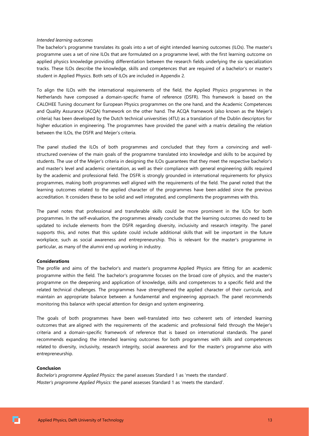#### *Intended learning outcomes*

The bachelor's programme translates its goals into a set of eight intended learning outcomes (ILOs). The master's programme uses a set of nine ILOs that are formulated on a programme level, with the first learning outcome on applied physics knowledge providing differentiation between the research fields underlying the six specialization tracks. These ILOs describe the knowledge, skills and competences that are required of a bachelor's or master's student in Applied Physics. Both sets of ILOs are included in Appendix 2.

To align the ILOs with the international requirements of the field, the Applied Physics programmes in the Netherlands have composed a domain-specific frame of reference (DSFR). This framework is based on the CALOHEE Tuning document for European Physics programmes on the one hand, and the Academic Competences and Quality Assurance (ACQA) framework on the other hand. The ACQA framework (also known as the Meijer's criteria) has been developed by the Dutch technical universities (4TU) as a translation of the Dublin descriptors for higher education in engineering. The programmes have provided the panel with a matrix detailing the relation between the ILOs, the DSFR and Meijer's criteria.

The panel studied the ILOs of both programmes and concluded that they form a convincing and wellstructured overview of the main goals of the programme translated into knowledge and skills to be acquired by students. The use of the Meijer's criteria in designing the ILOs guarantees that they meet the respective bachelor's and master's level and academic orientation, as well as their compliance with general engineering skills required by the academic and professional field. The DSFR is strongly grounded in international requirements for physics programmes, making both programmes well aligned with the requirements of the field. The panel noted that the learning outcomes related to the applied character of the programmes have been added since the previous accreditation. It considers these to be solid and well integrated, and compliments the programmes with this.

The panel notes that professional and transferable skills could be more prominent in the ILOs for both programmes. In the self-evaluation, the programmes already conclude that the learning outcomes do need to be updated to include elements from the DSFR regarding diversity, inclusivity and research integrity. The panel supports this, and notes that this update could include additional skills that will be important in the future workplace, such as social awareness and entrepreneurship. This is relevant for the master's programme in particular, as many of the alumni end up working in industry.

#### **Considerations**

The profile and aims of the bachelor's and master's programme Applied Physics are fitting for an academic programme within the field. The bachelor's programme focuses on the broad core of physics, and the master's programme on the deepening and application of knowledge, skills and competences to a specific field and the related technical challenges. The programmes have strengthened the applied character of their curricula, and maintain an appropriate balance between a fundamental and engineering approach. The panel recommends monitoring this balance with special attention for design and system engineering.

The goals of both programmes have been well-translated into two coherent sets of intended learning outcomes that are aligned with the requirements of the academic and professional field through the Meijer's criteria and a domain-specific framework of reference that is based on international standards. The panel recommends expanding the intended learning outcomes for both programmes with skills and competences related to diversity, inclusivity, research integrity, social awareness and for the master's programme also with entrepreneurship.

#### **Conclusion**

*Bachelor's programme Applied Physics:* the panel assesses Standard 1 as 'meets the standard'. *Master's programme Applied Physics:* the panel assesses Standard 1 as 'meets the standard'.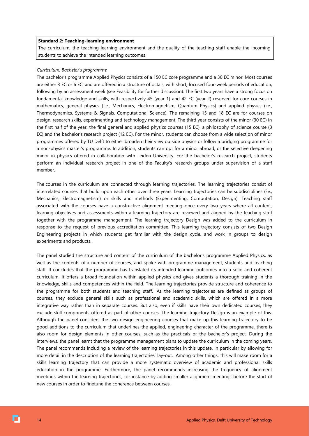### **Standard 2: Teaching-learning environment**

The curriculum, the teaching-learning environment and the quality of the teaching staff enable the incoming students to achieve the intended learning outcomes.

#### *Curriculum: Bachelor's programme*

The bachelor's programme Applied Physics consists of a 150 EC core programme and a 30 EC minor. Most courses are either 3 EC or 6 EC, and are offered in a structure of octals, with short, focused four-week periods of education, following by an assessment week (see Feasibility for further discussion). The first two years have a strong focus on fundamental knowledge and skills, with respectively 45 (year 1) and 42 EC (year 2) reserved for core courses in mathematics, general physics (i.e., Mechanics, Electromagnetism, Quantum Physics) and applied physics (i.e., Thermodynamics, Systems & Signals, Computational Science). The remaining 15 and 18 EC are for courses on design, research skills, experimenting and technology management. The third year consists of the minor (30 EC) in the first half of the year, the final general and applied physics courses (15 EC), a philosophy of science course (3 EC) and the bachelor's research project (12 EC). For the minor, students can choose from a wide selection of minor programmes offered by TU Delft to either broaden their view outside physics or follow a bridging programme for a non-physics master's programme. In addition, students can opt for a minor abroad, or the selective deepening minor in physics offered in collaboration with Leiden University. For the bachelor's research project, students perform an individual research project in one of the Faculty's research groups under supervision of a staff member.

The courses in the curriculum are connected through learning trajectories. The learning trajectories consist of interrelated courses that build upon each other over three years. Learning trajectories can be subdisciplines (*i.e.,* Mechanics, Electromagnetism) or skills and methods (Experimenting, Computation, Design). Teaching staff associated with the courses have a constructive alignment meeting once every two years where all content, learning objectives and assessments within a learning trajectory are reviewed and aligned by the teaching staff together with the programme management. The learning trajectory Design was added to the curriculum in response to the request of previous accreditation committee. This learning trajectory consists of two Design Engineering projects in which students get familiar with the design cycle, and work in groups to design experiments and products.

The panel studied the structure and content of the curriculum of the bachelor's programme Applied Physics, as well as the contents of a number of courses, and spoke with programme management, students and teaching staff. It concludes that the programme has translated its intended learning outcomes into a solid and coherent curriculum. It offers a broad foundation within applied physics and gives students a thorough training in the knowledge, skills and competences within the field. The learning trajectories provide structure and coherence to the programme for both students and teaching staff. As the learning trajectories are defined as groups of courses, they exclude general skills such as professional and academic skills, which are offered in a more integrative way rather than in separate courses. But also, even if skills have their own dedicated courses, they exclude skill components offered as part of other courses. The learning trajectory Design is an example of this. Although the panel considers the two design engineering courses that make up this learning trajectory to be good additions to the curriculum that underlines the applied, engineering character of the programme, there is also room for design elements in other courses, such as the practicals or the bachelor's project. During the interviews, the panel learnt that the programme management plans to update the curriculum in the coming years. The panel recommends including a review of the learning trajectories in this update, in particular by allowing for more detail in the description of the learning trajectories' lay-out. Among other things, this will make room for a skills learning trajectory that can provide a more systematic overview of academic and professional skills education in the programme. Furthermore, the panel recommends increasing the frequency of alignment meetings within the learning trajectories, for instance by adding smaller alignment meetings before the start of new courses in order to finetune the coherence between courses.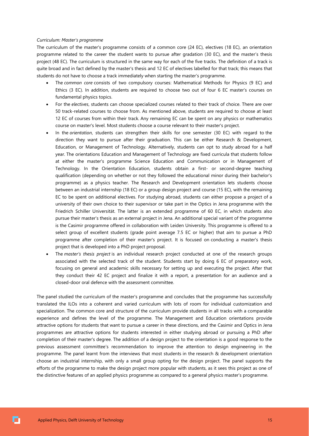#### *Curriculum: Master's programme*

The curriculum of the master's programme consists of a common core (24 EC), electives (18 EC), an orientation programme related to the career the student wants to pursue after gradation (30 EC), and the master's thesis project (48 EC). The curriculum is structured in the same way for each of the five tracks. The definition of a track is quite broad and in fact defined by the master's thesis and 12 EC of electives labelled for that track; this means that students do not have to choose a track immediately when starting the master's programme.

- The *common core* consists of two compulsory courses: Mathematical Methods for Physics (9 EC) and Ethics (3 EC). In addition, students are required to choose two out of four 6 EC master's courses on fundamental physics topics.
- For the *electives*, students can choose specialized courses related to their track of choice. There are over 50 track-related courses to choose from. As mentioned above, students are required to choose at least 12 EC of courses from within their track. Any remaining EC can be spent on any physics or mathematics course on master's level. Most students choose a course relevant to their master's project.
- In the *orientation*, students can strengthen their skills for one semester (30 EC) with regard to the direction they want to pursue after their graduation. This can be either Research & Development, Education, or Management of Technology. Alternatively, students can opt to study abroad for a half year. The orientations Education and Management of Technology are fixed curricula that students follow at either the master's programme Science Education and Communication or in Management of Technology. In the Orientation Education, students obtain a first- or second-degree teaching qualification (depending on whether or not they followed the educational minor during their bachelor's programme) as a physics teacher. The Research and Development orientation lets students choose between an industrial internship (18 EC) or a group design project and course (15 EC), with the remaining EC to be spent on additional electives. For studying abroad, students can either propose a project of a university of their own choice to their supervisor or take part in the Optics in Jena programme with the Friedrich Schiller Universität. The latter is an extended programme of 60 EC, in which students also pursue their master's thesis as an external project in Jena. An additional special variant of the programme is the Casimir programme offered in collaboration with Leiden University. This programme is offered to a select group of excellent students (grade point average 7.5 EC or higher) that aim to pursue a PhD programme after completion of their master's project. It is focused on conducting a master's thesis project that is developed into a PhD project proposal.
- The *master's thesis project* is an individual research project conducted at one of the research groups associated with the selected track of the student. Students start by doing 6 EC of preparatory work, focusing on general and academic skills necessary for setting up and executing the project. After that they conduct their 42 EC project and finalize it with a report, a presentation for an audience and a closed-door oral defence with the assessment committee.

The panel studied the curriculum of the master's programme and concludes that the programme has successfully translated the ILOs into a coherent and varied curriculum with lots of room for individual customization and specialization. The common core and structure of the curriculum provide students in all tracks with a comparable experience and defines the level of the programme. The Management and Education orientations provide attractive options for students that want to pursue a career in these directions, and the Casimir and Optics in Jena programmes are attractive options for students interested in either studying abroad or pursuing a PhD after completion of their master's degree. The addition of a design project to the orientation is a good response to the previous assessment committee's recommendation to improve the attention to design engineering in the programme. The panel learnt from the interviews that most students in the research & development orientation choose an industrial internship, with only a small group opting for the design project. The panel supports the efforts of the programme to make the design project more popular with students, as it sees this project as one of the distinctive features of an applied physics programme as compared to a general physics master's programme.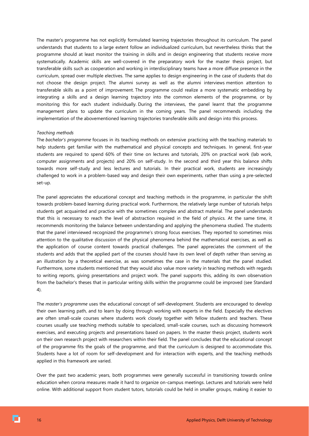The master's programme has not explicitly formulated learning trajectories throughout its curriculum. The panel understands that students to a large extent follow an individualized curriculum, but nevertheless thinks that the programme should at least monitor the training in skills and in design engineering that students receive more systematically. Academic skills are well-covered in the preparatory work for the master thesis project, but transferable skills such as cooperation and working in interdisciplinary teams have a more diffuse presence in the curriculum, spread over multiple electives. The same applies to design engineering in the case of students that do not choose the design project. The alumni survey as well as the alumni interviews mention attention to transferable skills as a point of improvement. The programme could realize a more systematic embedding by integrating a skills and a design learning trajectory into the common elements of the programme, or by monitoring this for each student individually. During the interviews, the panel learnt that the programme management plans to update the curriculum in the coming years. The panel recommends including the implementation of the abovementioned learning trajectories transferable skills and design into this process.

### *Teaching methods*

The *bachelor's programme* focuses in its teaching methods on extensive practicing with the teaching materials to help students get familiar with the mathematical and physical concepts and techniques. In general, first-year students are required to spend 60% of their time on lectures and tutorials, 20% on practical work (lab work, computer assignments and projects) and 20% on self-study. In the second and third year this balance shifts towards more self-study and less lectures and tutorials. In their practical work, students are increasingly challenged to work in a problem-based way and design their own experiments, rather than using a pre-selected set-up.

The panel appreciates the educational concept and teaching methods in the programme, in particular the shift towards problem-based learning during practical work. Furthermore, the relatively large number of tutorials helps students get acquainted and practice with the sometimes complex and abstract material. The panel understands that this is necessary to reach the level of abstraction required in the field of physics. At the same time, it recommends monitoring the balance between understanding and applying the phenomena studied. The students that the panel interviewed recognized the programme's strong focus exercises. They reported to sometimes miss attention to the qualitative discussion of the physical phenomena behind the mathematical exercises, as well as the application of course content towards practical challenges. The panel appreciates the comment of the students and adds that the applied part of the courses should have its own level of depth rather than serving as an illustration by a theoretical exercise, as was sometimes the case in the materials that the panel studied. Furthermore, some students mentioned that they would also value more variety in teaching methods with regards to writing reports, giving presentations and project work. The panel supports this, adding its own observation from the bachelor's theses that in particular writing skills within the programme could be improved (see Standard 4).

The *master's programme* uses the educational concept of self-development. Students are encouraged to develop their own learning path, and to learn by doing through working with experts in the field. Especially the electives are often small-scale courses where students work closely together with fellow students and teachers. These courses usually use teaching methods suitable to specialized, small-scale courses, such as discussing homework exercises, and executing projects and presentations based on papers. In the master thesis project, students work on their own research project with researchers within their field. The panel concludes that the educational concept of the programme fits the goals of the programme, and that the curriculum is designed to accommodate this. Students have a lot of room for self-development and for interaction with experts, and the teaching methods applied in this framework are varied.

Over the past two academic years, both programmes were generally successful in transitioning towards online education when corona measures made it hard to organize on-campus meetings. Lectures and tutorials were held online. With additional support from student tutors, tutorials could be held in smaller groups, making it easier to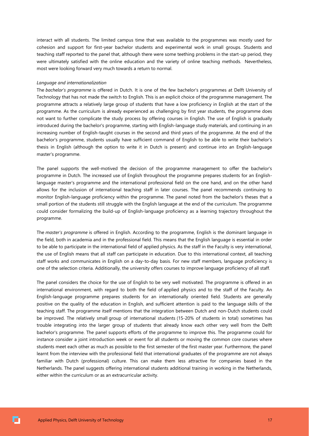interact with all students. The limited campus time that was available to the programmes was mostly used for cohesion and support for first-year bachelor students and experimental work in small groups. Students and teaching staff reported to the panel that, although there were some teething problems in the start-up period, they were ultimately satisfied with the online education and the variety of online teaching methods. Nevertheless, most were looking forward very much towards a return to normal.

#### *Language and internationalization*

The *bachelor's programme* is offered in Dutch. It is one of the few bachelor's programmes at Delft University of Technology that has not made the switch to English. This is an explicit choice of the programme management. The programme attracts a relatively large group of students that have a low proficiency in English at the start of the programme. As the curriculum is already experienced as challenging by first year students, the programme does not want to further complicate the study process by offering courses in English. The use of English is gradually introduced during the bachelor's programme, starting with English-language study materials, and continuing in an increasing number of English-taught courses in the second and third years of the programme. At the end of the bachelor's programme, students usually have sufficient command of English to be able to write their bachelor's thesis in English (although the option to write it in Dutch is present) and continue into an English-language master's programme.

The panel supports the well-motived the decision of the programme management to offer the bachelor's programme in Dutch. The increased use of English throughout the programme prepares students for an Englishlanguage master's programme and the international professional field on the one hand, and on the other hand allows for the inclusion of international teaching staff in later courses. The panel recommends continuing to monitor English-language proficiency within the programme. The panel noted from the bachelor's theses that a small portion of the students still struggle with the English language at the end of the curriculum. The programme could consider formalizing the build-up of English-language proficiency as a learning trajectory throughout the programme.

The *master's programme* is offered in English. According to the programme, English is the dominant language in the field, both in academia and in the professional field. This means that the English language is essential in order to be able to participate in the international field of applied physics. As the staff in the Faculty is very international, the use of English means that all staff can participate in education. Due to this international context, all teaching staff works and communicates in English on a day-to-day basis. For new staff members, language proficiency is one of the selection criteria. Additionally, the university offers courses to improve language proficiency of all staff.

The panel considers the choice for the use of English to be very well motivated. The programme is offered in an international environment, with regard to both the field of applied physics and to the staff of the Faculty. An English-language programme prepares students for an internationally oriented field. Students are generally positive on the quality of the education in English, and sufficient attention is paid to the language skills of the teaching staff. The programme itself mentions that the integration between Dutch and non-Dutch students could be improved. The relatively small group of international students (15-20% of students in total) sometimes has trouble integrating into the larger group of students that already know each other very well from the Delft bachelor's programme. The panel supports efforts of the programme to improve this. The programme could for instance consider a joint introduction week or event for all students or moving the common core courses where students meet each other as much as possible to the first semester of the first master year. Furthermore, the panel learnt from the interview with the professional field that international graduates of the programme are not always familiar with Dutch (professional) culture. This can make them less attractive for companies based in the Netherlands. The panel suggests offering international students additional training in working in the Netherlands, either within the curriculum or as an extracurricular activity.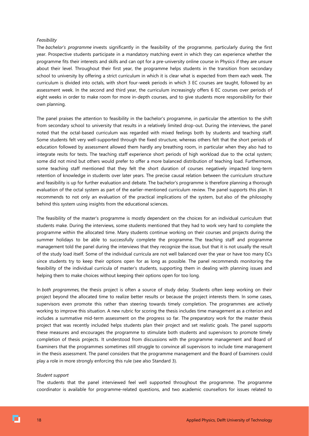#### *Feasibility*

The *bachelor's programme* invests significantly in the feasibility of the programme, particularly during the first year. Prospective students participate in a mandatory matching event in which they can experience whether the programme fits their interests and skills and can opt for a pre-university online course in Physics if they are unsure about their level. Throughout their first year, the programme helps students in the transition from secondary school to university by offering a strict curriculum in which it is clear what is expected from them each week. The curriculum is divided into octals, with short four-week periods in which 3 EC courses are taught, followed by an assessment week. In the second and third year, the curriculum increasingly offers 6 EC courses over periods of eight weeks in order to make room for more in-depth courses, and to give students more responsibility for their own planning.

The panel praises the attention to feasibility in the bachelor's programme, in particular the attention to the shift from secondary school to university that results in a relatively limited drop-out. During the interviews, the panel noted that the octal-based curriculum was regarded with mixed feelings both by students and teaching staff. Some students felt very well-supported through the fixed structure, whereas others felt that the short periods of education followed by assessment allowed them hardly any breathing room, in particular when they also had to integrate resits for tests. The teaching staff experience short periods of high workload due to the octal system; some did not mind but others would prefer to offer a more balanced distribution of teaching load. Furthermore, some teaching staff mentioned that they felt the short duration of courses negatively impacted long-term retention of knowledge in students over later years. The precise causal relation between the curriculum structure and feasibility is up for further evaluation and debate. The bachelor's programme is therefore planning a thorough evaluation of the octal system as part of the earlier-mentioned curriculum review. The panel supports this plan. It recommends to not only an evaluation of the practical implications of the system, but also of the philosophy behind this system using insights from the educational sciences.

The feasibility of the master's programme is mostly dependent on the choices for an individual curriculum that students make. During the interviews, some students mentioned that they had to work very hard to complete the programme within the allocated time. Many students continue working on their courses and projects during the summer holidays to be able to successfully complete the programme. The teaching staff and programme management told the panel during the interviews that they recognize the issue, but that it is not usually the result of the study load itself. Some of the individual curricula are not well balanced over the year or have too many ECs since students try to keep their options open for as long as possible. The panel recommends monitoring the feasibility of the individual curricula of master's students, supporting them in dealing with planning issues and helping them to make choices without keeping their options open for too long.

In *both programmes,* the thesis project is often a source of study delay. Students often keep working on their project beyond the allocated time to realize better results or because the project interests them. In some cases, supervisors even promote this rather than steering towards timely completion. The programmes are actively working to improve this situation. A new rubric for scoring the thesis includes time management as a criterion and includes a summative mid-term assessment on the progress so far. The preparatory work for the master thesis project that was recently included helps students plan their project and set realistic goals. The panel supports these measures and encourages the programme to stimulate both students and supervisors to promote timely completion of thesis projects. It understood from discussions with the programme management and Board of Examiners that the programmes sometimes still struggle to convince all supervisors to include time management in the thesis assessment. The panel considers that the programme management and the Board of Examiners could play a role in more strongly enforcing this rule (see also Standard 3).

#### *Student support*

The students that the panel interviewed feel well supported throughout the programme. The programme coordinator is available for programme-related questions, and two academic counsellors for issues related to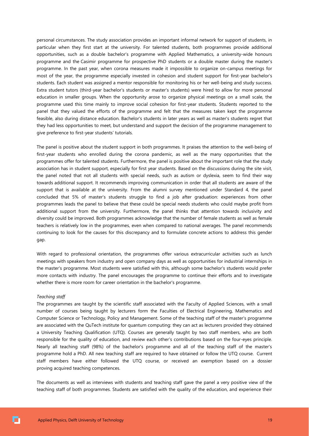personal circumstances. The study association provides an important informal network for support of students, in particular when they first start at the university. For talented students, both programmes provide additional opportunities, such as a double bachelor's programme with Applied Mathematics, a university-wide honours programme and the Casimir programme for prospective PhD students or a double master during the master's programme. In the past year, when corona measures made it impossible to organize on-campus meetings for most of the year, the programme especially invested in cohesion and student support for first-year bachelor's students. Each student was assigned a mentor responsible for monitoring his or her well-being and study success. Extra student tutors (third-year bachelor's students or master's students) were hired to allow for more personal education in smaller groups. When the opportunity arose to organize physical meetings on a small scale, the programme used this time mainly to improve social cohesion for first-year students. Students reported to the panel that they valued the efforts of the programme and felt that the measures taken kept the programme feasible, also during distance education. Bachelor's students in later years as well as master's students regret that they had less opportunities to meet, but understand and support the decision of the programme management to give preference to first-year students' tutorials.

The panel is positive about the student support in both programmes. It praises the attention to the well-being of first-year students who enrolled during the corona pandemic, as well as the many opportunities that the programmes offer for talented students. Furthermore, the panel is positive about the important role that the study association has in student support, especially for first year students. Based on the discussions during the site visit, the panel noted that not all students with special needs, such as autism or dyslexia, seem to find their way towards additional support. It recommends improving communication in order that all students are aware of the support that is available at the university. From the alumni survey mentioned under Standard 4, the panel concluded that 5% of master's students struggle to find a job after graduation: experiences from other programmes leads the panel to believe that these could be special needs students who could maybe profit from additional support from the university. Furthermore, the panel thinks that attention towards inclusivity and diversity could be improved. Both programmes acknowledge that the number of female students as well as female teachers is relatively low in the programmes, even when compared to national averages. The panel recommends continuing to look for the causes for this discrepancy and to formulate concrete actions to address this gender gap.

With regard to professional orientation, the programmes offer various extracurricular activities such as lunch meetings with speakers from industry and open company days as well as opportunities for industrial internships in the master's programme. Most students were satisfied with this, although some bachelor's students would prefer more contacts with industry. The panel encourages the programme to continue their efforts and to investigate whether there is more room for career orientation in the bachelor's programme.

### *Teaching staff*

The programmes are taught by the scientific staff associated with the Faculty of Applied Sciences, with a small number of courses being taught by lecturers form the Faculties of Electrical Engineering, Mathematics and Computer Science or Technology, Policy and Management. Some of the teaching staff of the master's programme are associated with the QuTech institute for quantum computing: they can act as lecturers provided they obtained a University Teaching Qualification (UTQ). Courses are generally taught by two staff members, who are both responsible for the quality of education, and review each other's contributions based on the four-eyes principle. Nearly all teaching staff (98%) of the bachelor's programme and all of the teaching staff of the master's programme hold a PhD. All new teaching staff are required to have obtained or follow the UTQ course. Current staff members have either followed the UTQ course, or received an exemption based on a dossier proving acquired teaching competences.

The documents as well as interviews with students and teaching staff gave the panel a very positive view of the teaching staff of both programmes. Students are satisfied with the quality of the education, and experience their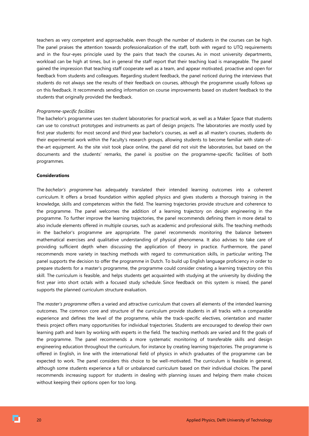teachers as very competent and approachable, even though the number of students in the courses can be high. The panel praises the attention towards professionalization of the staff, both with regard to UTQ requirements and in the four-eyes principle used by the pairs that teach the courses. As in most university departments, workload can be high at times, but in general the staff report that their teaching load is manageable. The panel gained the impression that teaching staff cooperate well as a team, and appear motivated, proactive and open for feedback from students and colleagues. Regarding student feedback, the panel noticed during the interviews that students do not always see the results of their feedback on courses, although the programme usually follows up on this feedback. It recommends sending information on course improvements based on student feedback to the students that originally provided the feedback.

#### *Programme-specific facilities*

The bachelor's programme uses ten student laboratories for practical work, as well as a Maker Space that students can use to construct prototypes and instruments as part of design projects. The laboratories are mostly used by first year students: for most second and third year bachelor's courses, as well as all master's courses, students do their experimental work within the Faculty's research groups, allowing students to become familiar with state-ofthe-art equipment. As the site visit took place online, the panel did not visit the laboratories, but based on the documents and the students' remarks, the panel is positive on the programme-specific facilities of both programmes.

#### **Considerations**

The *bachelor's programme* has adequately translated their intended learning outcomes into a coherent curriculum. It offers a broad foundation within applied physics and gives students a thorough training in the knowledge, skills and competences within the field. The learning trajectories provide structure and coherence to the programme. The panel welcomes the addition of a learning trajectory on design engineering in the programme. To further improve the learning trajectories, the panel recommends defining them in more detail to also include elements offered in multiple courses, such as academic and professional skills. The teaching methods in the bachelor's programme are appropriate. The panel recommends monitoring the balance between mathematical exercises and qualitative understanding of physical phenomena. It also advises to take care of providing sufficient depth when discussing the application of theory in practice. Furthermore, the panel recommends more variety in teaching methods with regard to communication skills, in particular writing. The panel supports the decision to offer the programme in Dutch. To build up English language proficiency in order to prepare students for a master's programme, the programme could consider creating a learning trajectory on this skill. The curriculum is feasible, and helps students get acquainted with studying at the university by dividing the first year into short octals with a focused study schedule. Since feedback on this system is mixed, the panel supports the planned curriculum structure evaluation.

The *master's programme* offers a varied and attractive curriculum that covers all elements of the intended learning outcomes. The common core and structure of the curriculum provide students in all tracks with a comparable experience and defines the level of the programme, while the track-specific electives, orientation and master thesis project offers many opportunities for individual trajectories. Students are encouraged to develop their own learning path and learn by working with experts in the field. The teaching methods are varied and fit the goals of the programme. The panel recommends a more systematic monitoring of transferable skills and design engineering education throughout the curriculum, for instance by creating learning trajectories. The programme is offered in English, in line with the international field of physics in which graduates of the programme can be expected to work. The panel considers this choice to be well-motivated. The curriculum is feasible in general, although some students experience a full or unbalanced curriculum based on their individual choices. The panel recommends increasing support for students in dealing with planning issues and helping them make choices without keeping their options open for too long.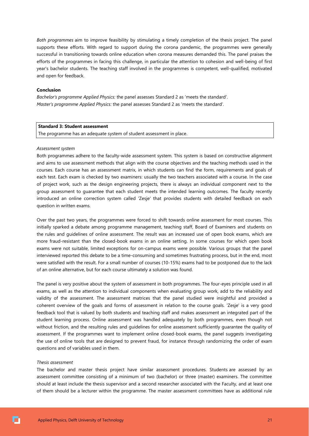*Both programmes* aim to improve feasibility by stimulating a timely completion of the thesis project. The panel supports these efforts. With regard to support during the corona pandemic, the programmes were generally successful in transitioning towards online education when corona measures demanded this. The panel praises the efforts of the programmes in facing this challenge, in particular the attention to cohesion and well-being of first year's bachelor students. The teaching staff involved in the programmes is competent, well-qualified, motivated and open for feedback.

#### **Conclusion**

*Bachelor's programme Applied Physics:* the panel assesses Standard 2 as 'meets the standard'. *Master's programme Applied Physics:* the panel assesses Standard 2 as 'meets the standard'.

### **Standard 3: Student assessment**

The programme has an adequate system of student assessment in place.

#### *Assessment system*

Both programmes adhere to the faculty-wide assessment system. This system is based on constructive alignment and aims to use assessment methods that align with the course objectives and the teaching methods used in the courses. Each course has an assessment matrix, in which students can find the form, requirements and goals of each test. Each exam is checked by two examiners: usually the two teachers associated with a course. In the case of project work, such as the design engineering projects, there is always an individual component next to the group assessment to guarantee that each student meets the intended learning outcomes. The faculty recently introduced an online correction system called 'Zesje' that provides students with detailed feedback on each question in written exams.

Over the past two years, the programmes were forced to shift towards online assessment for most courses. This initially sparked a debate among programme management, teaching staff, Board of Examiners and students on the rules and guidelines of online assessment. The result was an increased use of open book exams, which are more fraud-resistant than the closed-book exams in an online setting. In some courses for which open book exams were not suitable, limited exceptions for on-campus exams were possible. Various groups that the panel interviewed reported this debate to be a time-consuming and sometimes frustrating process, but in the end, most were satisfied with the result. For a small number of courses (10-15%) exams had to be postponed due to the lack of an online alternative, but for each course ultimately a solution was found.

The panel is very positive about the system of assessment in both programmes. The four-eyes principle used in all exams, as well as the attention to individual components when evaluating group work, add to the reliability and validity of the assessment. The assessment matrices that the panel studied were insightful and provided a coherent overview of the goals and forms of assessment in relation to the course goals. 'Zesje' is a very good feedback tool that is valued by both students and teaching staff and makes assessment an integrated part of the student learning process. Online assessment was handled adequately by both programmes, even though not without friction, and the resulting rules and guidelines for online assessment sufficiently guarantee the quality of assessment. If the programmes want to implement online closed-book exams, the panel suggests investigating the use of online tools that are designed to prevent fraud, for instance through randomizing the order of exam questions and of variables used in them.

## *Thesis assessment*

The bachelor and master thesis project have similar assessment procedures. Students are assessed by an assessment committee consisting of a minimum of two (bachelor) or three (master) examiners. The committee should at least include the thesis supervisor and a second researcher associated with the Faculty, and at least one of them should be a lecturer within the programme. The master assessment committees have as additional rule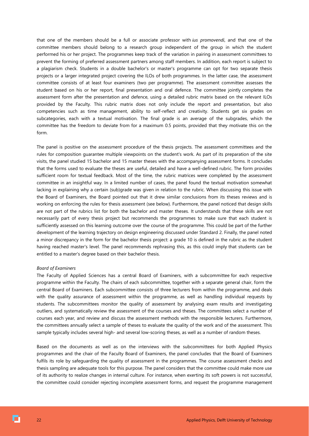that one of the members should be a full or associate professor with *ius promovendi*, and that one of the committee members should belong to a research group independent of the group in which the student performed his or her project. The programmes keep track of the variation in pairing in assessment committees to prevent the forming of preferred assessment partners among staff members. In addition, each report is subject to a plagiarism check. Students in a double bachelor's or master's programme can opt for two separate thesis projects or a larger integrated project covering the ILOs of both programmes. In the latter case, the assessment committee consists of at least four examiners (two per programme). The assessment committee assesses the student based on his or her report, final presentation and oral defence. The committee jointly completes the assessment form after the presentation and defence, using a detailed rubric matrix based on the relevant ILOs provided by the Faculty. This rubric matrix does not only include the report and presentation, but also competencies such as time management, ability to self-reflect and creativity. Students get six grades on subcategories, each with a textual motivation. The final grade is an average of the subgrades, which the committee has the freedom to deviate from for a maximum 0.5 points, provided that they motivate this on the form.

The panel is positive on the assessment procedure of the thesis projects. The assessment committees and the rules for composition guarantee multiple viewpoints on the student's work. As part of its preparation of the site visits, the panel studied 15 bachelor and 15 master theses with the accompanying assessment forms. It concludes that the forms used to evaluate the theses are useful, detailed and have a well-defined rubric. The form provides sufficient room for textual feedback. Most of the time, the rubric matrices were completed by the assessment committee in an insightful way. In a limited number of cases, the panel found the textual motivation somewhat lacking in explaining why a certain (sub)grade was given in relation to the rubric. When discussing this issue with the Board of Examiners, the Board pointed out that it drew similar conclusions from its theses reviews and is working on enforcing the rules for thesis assessment (see below). Furthermore, the panel noticed that design skills are not part of the rubrics list for both the bachelor and master theses. It understands that these skills are not necessarily part of every thesis project but recommends the programmes to make sure that each student is sufficiently assessed on this learning outcome over the course of the programme. This could be part of the further development of the learning trajectory on design engineering discussed under Standard 2. Finally, the panel noted a minor discrepancy in the form for the bachelor thesis project: a grade 10 is defined in the rubric as the student having reached master's level. The panel recommends rephrasing this, as this could imply that students can be entitled to a master's degree based on their bachelor thesis.

#### *Board of Examiners*

The Faculty of Applied Sciences has a central Board of Examiners, with a subcommittee for each respective programme within the Faculty. The chairs of each subcommittee, together with a separate general chair, form the central Board of Examiners. Each subcommittee consists of three lecturers from within the programme, and deals with the quality assurance of assessment within the programme, as well as handling individual requests by students. The subcommittees monitor the quality of assessment by analysing exam results and investigating outliers, and systematically review the assessment of the courses and theses. The committees select a number of courses each year, and review and discuss the assessment methods with the responsible lecturers. Furthermore, the committees annually select a sample of theses to evaluate the quality of the work and of the assessment. This sample typically includes several high- and several low-scoring theses, as well as a number of random theses.

Based on the documents as well as on the interviews with the subcommittees for both Applied Physics programmes and the chair of the Faculty Board of Examiners, the panel concludes that the Board of Examiners fulfils its role by safeguarding the quality of assessment in the programmes. The course assessment checks and thesis sampling are adequate tools for this purpose. The panel considers that the committee could make more use of its authority to realize changes in internal culture. For instance, when exerting its soft powers is not successful, the committee could consider rejecting incomplete assessment forms, and request the programme management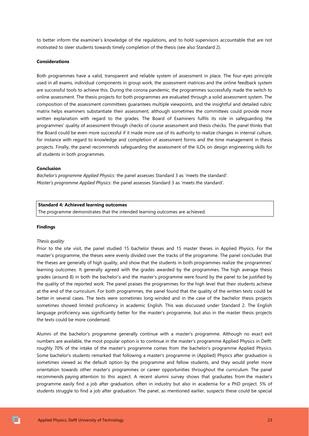to better inform the examiner's knowledge of the regulations, and to hold supervisors accountable that are not motivated to steer students towards timely completion of the thesis (see also Standard 2).

#### **Considerations**

Both programmes have a valid, transparent and reliable system of assessment in place. The four-eyes principle used in all exams, individual components in group work, the assessment matrices and the online feedback system are successful tools to achieve this. During the corona pandemic, the programmes successfully made the switch to online assessment. The thesis projects for both programmes are evaluated through a solid assessment system. The composition of the assessment committees guarantees multiple viewpoints, and the insightful and detailed rubric matrix helps examiners substantiate their assessment, although sometimes the committees could provide more written explanation with regard to the grades. The Board of Examiners fulfils its role in safeguarding the programmes' quality of assessment through checks of course assessment and thesis checks. The panel thinks that the Board could be even more successful if it made more use of its authority to realize changes in internal culture, for instance with regard to knowledge and completion of assessment forms and the time management in thesis projects. Finally, the panel recommends safeguarding the assessment of the ILOs on design engineering skills for all students in both programmes.

#### **Conclusion**

*Bachelor's programme Applied Physics:* the panel assesses Standard 3 as 'meets the standard'. *Master's programme Applied Physics:* the panel assesses Standard 3 as 'meets the standard'.

#### **Standard 4: Achieved learning outcomes**

The programme demonstrates that the intended learning outcomes are achieved.

#### **Findings**

#### *Thesis quality*

Prior to the site visit, the panel studied 15 bachelor theses and 15 master theses in Applied Physics. For the master's programme, the theses were evenly divided over the tracks of the programme. The panel concludes that the theses are generally of high quality, and show that the students in both programmes realize the programmes' learning outcomes. It generally agreed with the grades awarded by the programmes. The high average thesis grades (around 8) in both the bachelor's and the master's programme were found by the panel to be justified by the quality of the reported work. The panel praises the programmes for the high level that their students achieve at the end of the curriculum. For both programmes, the panel found that the quality of the written texts could be better in several cases. The texts were sometimes long-winded and in the case of the bachelor thesis projects sometimes showed limited proficiency in academic English. This was discussed under Standard 2. The English language proficiency was significantly better for the master's programme, but also in the master thesis projects the texts could be more condensed.

Alumni of the bachelor's programme generally continue with a master's programme. Although no exact exit numbers are available, the most popular option is to continue in the master's programme Applied Physics in Delft: roughly 70% of the intake of the master's programme comes from the bachelor's programme Applied Physics. Some bachelor's students remarked that following a master's programme in (Applied) Physics after graduation is sometimes viewed as the default option by the programme and fellow students, and they would prefer more orientation towards other master's programmes or career opportunities throughout the curriculum. The panel recommends paying attention to this aspect. A recent alumni survey shows that graduates from the master's programme easily find a job after graduation, often in industry but also in academia for a PhD project. 5% of students struggle to find a job after graduation. The panel, as mentioned earlier, suspects these could be special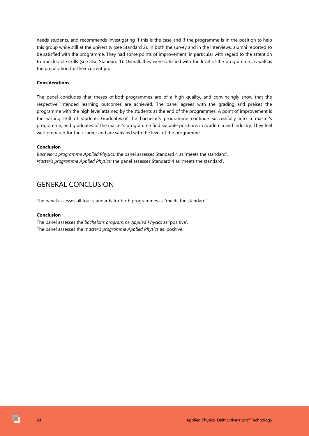needs students, and recommends investigating if this is the case and if the programme is in the position to help this group while still at the university (see Standard 2). In both the survey and in the interviews, alumni reported to be satisfied with the programme. They had some points of improvement, in particular with regard to the attention to transferable skills (see also Standard 1). Overall, they were satisfied with the level of the programme, as well as the preparation for their current job.

### **Considerations**

The panel concludes that theses of both programmes are of a high quality, and convincingly show that the respective intended learning outcomes are achieved. The panel agrees with the grading and praises the programme with the high level attained by the students at the end of the programmes. A point of improvement is the writing skill of students. Graduates of the bachelor's programme continue successfully into a master's programme, and graduates of the master's programme find suitable positions in academia and industry. They feel well-prepared for their career and are satisfied with the level of the programme.

### **Conclusion**

*Bachelor's programme Applied Physics:* the panel assesses Standard 4 as 'meets the standard'. *Master's programme Applied Physics:* the panel assesses Standard 4 as 'meets the standard'.

## GENERAL CONCLUSION

The panel assesses all four standards for both programmes as 'meets the standard'.

## **Conclusion**

The panel assesses the *bachelor's programme Applied Physics* as 'positive'. The panel assesses the *master's programme Applied Physics* as 'positive'.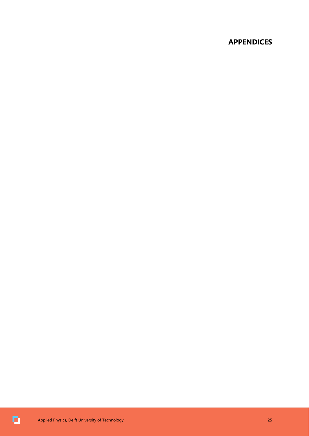# <span id="page-24-0"></span>**APPENDICES**

o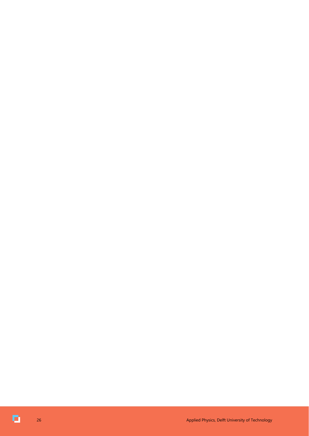



o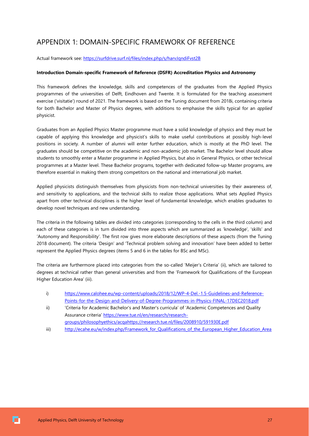## <span id="page-26-0"></span>APPENDIX 1: DOMAIN-SPECIFIC FRAMEWORK OF REFERENCE

Actual framework see[: https://surfdrive.surf.nl/files/index.php/s/harvJqndiFvst2B](https://surfdrive.surf.nl/files/index.php/s/harvJqndiFvst2B)

### **Introduction Domain-specific Framework of Reference (DSFR) Accreditation Physics and Astronomy**

This framework defines the knowledge, skills and competences of the graduates from the Applied Physics programmes of the universities of Delft, Eindhoven and Twente. It is formulated for the teaching assessment exercise ('visitatie') round of 2021. The framework is based on the Tuning document from 2018i, containing criteria for both Bachelor and Master of Physics degrees, with additions to emphasise the skills typical for an *applied*  physicist.

Graduates from an Applied Physics Master programme must have a solid knowledge of physics and they must be capable of applying this knowledge and physicist's skills to make useful contributions at possibly high-level positions in society. A number of alumni will enter further education, which is mostly at the PhD level. The graduates should be competitive on the academic and non-academic job market. The Bachelor level should allow students to smoothly enter a Master programme in Applied Physics, but also in General Physics, or other technical programmes at a Master level. These Bachelor programs, together with dedicated follow-up Master programs, are therefore essential in making them strong competitors on the national and international job market.

Applied physicists distinguish themselves from physicists from non-technical universities by their awareness of, and sensitivity to applications, and the technical skills to realize those applications. What sets Applied Physics apart from other technical disciplines is the higher level of fundamental knowledge, which enables graduates to develop novel techniques and new understanding.

The criteria in the following tables are divided into categories (corresponding to the cells in the third column) and each of these categories is in turn divided into three aspects which are summarized as 'knowledge', 'skills' and 'Autonomy and Responsibility'. The first row gives more elaborate descriptions of these aspects (from the Tuning 2018 document). The criteria 'Design' and 'Technical problem solving and innovation' have been added to better represent the Applied Physics degrees (items 5 and 6 in the tables for BSc and MSc).

The criteria are furthermore placed into categories from the so-called 'Meijer's Criteria' (ii), which are tailored to degrees at technical rather than general universities and from the 'Framework for Qualifications of the European Higher Education Area' (iii).

- i) [https://www.calohee.eu/wp-content/uploads/2018/12/WP-4-Del.-1.5-Guidelines-and-Reference-](https://www.calohee.eu/wp-content/uploads/2018/12/WP-4-Del.-1.5-Guidelines-and-Reference-Points-for-the-Design-and-Delivery-of-Degree-Programmes-in-Physics-FINAL-17DEC2018.pdf)[Points-for-the-Design-and-Delivery-of-Degree-Programmes-in-Physics-FINAL-17DEC2018.pdf](https://www.calohee.eu/wp-content/uploads/2018/12/WP-4-Del.-1.5-Guidelines-and-Reference-Points-for-the-Design-and-Delivery-of-Degree-Programmes-in-Physics-FINAL-17DEC2018.pdf)
- ii) 'Criteria for Academic Bachelor's and Master's curricula' of 'Academic Competences and Quality Assurance criteria' [https://www.tue.nl/en/research/research](https://www.tue.nl/en/research/research-groups/philosophyethics/acqahttps:/research.tue.nl/files/2008910/591930E.pdf)[groups/philosophyethics/acqahttps://research.tue.nl/files/2008910/591930E.pdf](https://www.tue.nl/en/research/research-groups/philosophyethics/acqahttps:/research.tue.nl/files/2008910/591930E.pdf)
- iii) [http://ecahe.eu/w/index.php/Framework\\_for\\_Qualifications\\_of\\_the\\_European\\_Higher\\_Education\\_Area](http://ecahe.eu/w/index.php/Framework_for_Qualifications_of_the_European_Higher_Education_Area)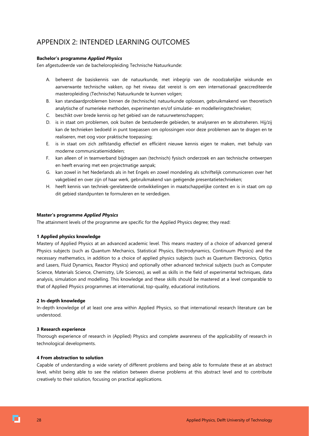## <span id="page-27-0"></span>APPENDIX 2: INTENDED LEARNING OUTCOMES

### **Bachelor's programme** *Applied Physics*

Een afgestudeerde van de bacheloropleiding Technische Natuurkunde:

- A. beheerst de basiskennis van de natuurkunde, met inbegrip van de noodzakelijke wiskunde en aanverwante technische vakken, op het niveau dat vereist is om een internationaal geaccrediteerde masteropleiding (Technische) Natuurkunde te kunnen volgen;
- B. kan standaardproblemen binnen de (technische) natuurkunde oplossen, gebruikmakend van theoretisch analytische of numerieke methoden, experimenten en/of simulatie- en modelleringstechnieken;
- C. beschikt over brede kennis op het gebied van de natuurwetenschappen;
- D. is in staat om problemen, ook buiten de bestudeerde gebieden, te analyseren en te abstraheren. Hij/zij kan de technieken bedoeld in punt toepassen om oplossingen voor deze problemen aan te dragen en te realiseren, met oog voor praktische toepassing;
- E. is in staat om zich zelfstandig effectief en efficiënt nieuwe kennis eigen te maken, met behulp van moderne communicatiemiddelen;
- F. kan alleen of in teamverband bijdragen aan (technisch) fysisch onderzoek en aan technische ontwerpen en heeft ervaring met een projectmatige aanpak;
- G. kan zowel in het Nederlands als in het Engels en zowel mondeling als schriftelijk communiceren over het vakgebied en over zijn of haar werk, gebruikmakend van geëigende presentatietechnieken;
- H. heeft kennis van techniek-gerelateerde ontwikkelingen in maatschappelijke context en is in staat om op dit gebied standpunten te formuleren en te verdedigen.

#### **Master's programme** *Applied Physics*

The attainment levels of the programme are specific for the Applied Physics degree; they read:

#### **1 Applied physics knowledge**

Mastery of Applied Physics at an advanced academic level. This means mastery of a choice of advanced general Physics subjects (such as Quantum Mechanics, Statistical Physics, Electrodynamics, Continuum Physics) and the necessary mathematics, in addition to a choice of applied physics subjects (such as Quantum Electronics, Optics and Lasers, Fluid Dynamics, Reactor Physics) and optionally other advanced technical subjects (such as Computer Science, Materials Science, Chemistry, Life Sciences), as well as skills in the field of experimental techniques, data analysis, simulation and modelling. This knowledge and these skills should be mastered at a level comparable to that of Applied Physics programmes at international, top-quality, educational institutions.

#### **2 In-depth knowledge**

In-depth knowledge of at least one area within Applied Physics, so that international research literature can be understood.

#### **3 Research experience**

Thorough experience of research in (Applied) Physics and complete awareness of the applicability of research in technological developments.

#### **4 From abstraction to solution**

Capable of understanding a wide variety of different problems and being able to formulate these at an abstract level, whilst being able to see the relation between diverse problems at this abstract level and to contribute creatively to their solution, focusing on practical applications.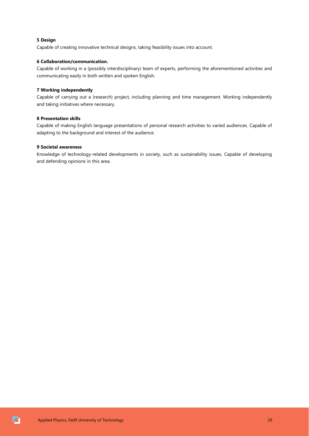## **5 Design**

Capable of creating innovative technical designs, taking feasibility issues into account.

## **6 Collaboration/communication.**

Capable of working in a (possibly interdisciplinary) team of experts, performing the aforementioned activities and communicating easily in both written and spoken English.

## **7 Working independently**

Capable of carrying out a (research) project, including planning and time management. Working independently and taking initiatives where necessary.

### **8 Presentation skills**

Capable of making English language presentations of personal research activities to varied audiences. Capable of adapting to the background and interest of the audience.

### **9 Societal awareness**

Knowledge of technology-related developments in society, such as sustainability issues. Capable of developing and defending opinions in this area.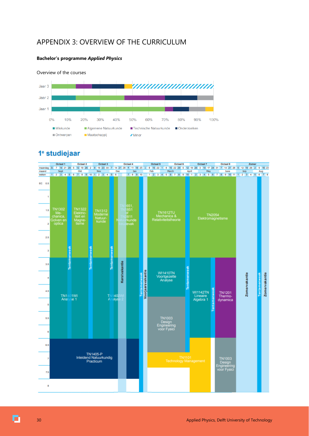## <span id="page-29-0"></span>APPENDIX 3: OVERVIEW OF THE CURRICULUM

## **Bachelor's programme** *Applied Physics*

u*mmmmmmn* Jaar 3 Jaar 2 Jaar 1  $0%$ 100% 10% 20% 30% 40% 50% 60% 70% 80% 90% **Wiskunde** Algemene Natuurkunde ■ Technische Natuurkunde Onderzoeken **Ontwerpen Maatschappij**  $M$ Minor

## 1<sup>e</sup> studiejaar



Overview of the courses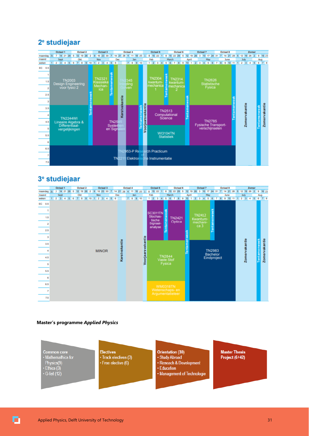## 2<sup>e</sup> studiejaar

|         | Octaal 1<br>Octaal 2<br>14 21 |                         |  |                |  |    |                 |                   | Octaal <sub>3</sub>                  |   |    |   |                                              |             |  |  |                   |           | Octaal 4 |               |     |      |          |         | Octaal 5          |     |                                        | Octaal 6          |                                                 |         |    |          |       | Octaal 7       |   |  |                  |     |               | Octaal 8       |                     |       |         |    | Zomer    |      |  |                |             |               |  |
|---------|-------------------------------|-------------------------|--|----------------|--|----|-----------------|-------------------|--------------------------------------|---|----|---|----------------------------------------------|-------------|--|--|-------------------|-----------|----------|---------------|-----|------|----------|---------|-------------------|-----|----------------------------------------|-------------------|-------------------------------------------------|---------|----|----------|-------|----------------|---|--|------------------|-----|---------------|----------------|---------------------|-------|---------|----|----------|------|--|----------------|-------------|---------------|--|
| maandag | 31                            | $\overline{z}$          |  |                |  |    |                 |                   | 12 19 26                             |   |    |   |                                              | 16 23 30    |  |  |                   |           | 14 21    | 28            |     |      | 11 18 25 |         |                   |     | 8 15 22                                |                   |                                                 | 22 29 5 |    |          | 19    | 26             | з |  | 10               | 17  |               | 24 31          |                     | 14 21 |         | 28 | 12 19 26 |      |  | $\overline{2}$ | -9          | 16 23         |  |
| maand   |                               |                         |  | Sept           |  |    |                 | Okt               |                                      |   |    |   |                                              | Nov         |  |  |                   |           | Dec      |               |     |      | Jan      |         |                   | Feb |                                        |                   | March                                           |         |    |          | April |                |   |  |                  | May |               |                |                     | June  |         |    | July     |      |  |                |             | Aug           |  |
| weken   |                               | $\overline{\mathbf{z}}$ |  | 3 <sup>2</sup> |  | -6 | 6               | $\overline{\tau}$ | <b>B</b>                             | 9 | 10 |   |                                              | $2 \t3 \t4$ |  |  | 56                |           |          |               |     |      | 8 9 10   |         |                   |     | $1 \t2 \t3$                            | 5                 | 6 7                                             |         | -9 | $10 - 1$ |       | $\overline{2}$ | я |  | $\boldsymbol{A}$ | 5   | -6            | $\overline{ }$ |                     |       | 9 10 11 |    |          |      |  |                |             | 2 3 4 5 6 7 8 |  |
| EC 0.5  |                               |                         |  |                |  |    |                 |                   |                                      |   |    |   |                                              |             |  |  |                   |           |          |               |     |      |          |         |                   |     |                                        |                   |                                                 |         |    |          |       |                |   |  |                  |     |               |                |                     |       |         |    |          |      |  |                |             |               |  |
|         |                               |                         |  |                |  |    |                 |                   |                                      |   |    |   |                                              |             |  |  |                   |           |          |               |     |      |          |         |                   |     |                                        |                   |                                                 |         |    |          |       |                |   |  |                  |     |               |                |                     |       |         |    |          |      |  |                |             |               |  |
| 1.5     |                               | Design Engineering      |  |                |  |    | <b>TN2003</b>   |                   |                                      |   |    |   | <b>TN2321</b><br>Klassieke<br><b>Mechan-</b> |             |  |  | g<br>ε            |           |          |               | 345 | ding |          |         |                   |     | <b>TN2304</b><br>kwantum-<br>mechanica | ٤                 | <b>TN2314</b><br>kwantum-<br><b>2</b> mechanica |         |    |          |       |                |   |  |                  |     | <b>TN2626</b> | Statistische   |                     |       |         |    |          |      |  |                |             |               |  |
| 2       |                               |                         |  |                |  |    | voor fysici 2   |                   |                                      |   |    |   |                                              | ica         |  |  | nta               |           |          |               | ven |      |          |         |                   |     |                                        |                   |                                                 |         |    |          |       |                |   |  |                  |     | Fysica        |                |                     |       |         |    |          |      |  |                |             |               |  |
| 2.5     |                               |                         |  |                |  |    |                 |                   |                                      |   |    |   |                                              |             |  |  |                   |           |          |               |     |      |          |         |                   |     |                                        |                   |                                                 |         |    |          |       |                |   |  |                  |     |               |                |                     |       |         |    |          |      |  |                |             |               |  |
| я       |                               |                         |  |                |  |    |                 |                   |                                      |   |    |   |                                              |             |  |  |                   |           |          | Kerstvakantie |     |      |          |         |                   |     |                                        |                   |                                                 |         |    |          |       |                |   |  |                  |     |               |                |                     |       |         |    |          |      |  |                |             |               |  |
| 3.5     |                               |                         |  |                |  |    |                 |                   |                                      |   |    | ē |                                              |             |  |  |                   |           |          |               |     |      |          | nenweek |                   |     |                                        | <b>TN2513</b>     |                                                 |         |    |          |       |                |   |  |                  |     |               |                |                     |       |         |    |          |      |  |                |             |               |  |
|         |                               |                         |  |                |  |    | <b>TN2244WI</b> |                   |                                      |   |    |   |                                              |             |  |  |                   |           |          |               |     |      |          |         |                   |     |                                        | Science           | Computational                                   |         |    | entam    |       |                |   |  |                  |     |               |                |                     |       |         |    |          |      |  |                |             |               |  |
| 4.5     |                               |                         |  |                |  |    |                 |                   | Lineaire Algebra &<br>Differentiaal- |   |    |   |                                              |             |  |  | <b>TN25</b>       |           |          |               |     |      |          |         | Voorjaarsvakantie |     |                                        |                   |                                                 |         |    |          |       |                |   |  |                  |     | <b>TN2785</b> |                | Fysische Transport- |       |         |    |          | Zome |  |                | entamenweek | Zomervakantie |  |
| 5       |                               |                         |  |                |  |    | vergelijkingen  |                   |                                      |   |    |   |                                              |             |  |  | Syster<br>en Sign |           |          |               |     |      |          |         |                   |     |                                        |                   |                                                 |         |    |          |       |                |   |  |                  |     |               |                | verschijnselen      |       |         |    |          |      |  |                |             |               |  |
| 5.5     |                               |                         |  |                |  |    |                 |                   |                                      |   |    |   |                                              |             |  |  |                   |           |          |               |     |      |          |         |                   |     |                                        | <b>Statistiek</b> | <b>WI3104TN</b>                                 |         |    |          |       |                |   |  |                  |     |               |                |                     |       |         |    |          |      |  |                |             |               |  |
| 6       |                               |                         |  |                |  |    |                 |                   |                                      |   |    |   |                                              |             |  |  |                   |           |          |               |     |      |          |         |                   |     |                                        |                   |                                                 |         |    |          |       |                |   |  |                  |     |               |                |                     |       |         |    |          |      |  |                |             |               |  |
| 6.5     |                               |                         |  |                |  |    |                 |                   |                                      |   |    |   |                                              |             |  |  |                   |           |          | N2953-P Re    |     |      |          |         |                   |     | ch Practicum                           |                   |                                                 |         |    |          |       |                |   |  |                  |     |               |                |                     |       |         |    |          |      |  |                |             |               |  |
| ÷       |                               |                         |  |                |  |    |                 |                   |                                      |   |    |   |                                              |             |  |  |                   | <b>TN</b> |          | 2211 Elektror |     |      |          |         |                   |     | e Instrumentatie                       |                   |                                                 |         |    |          |       |                |   |  |                  |     |               |                |                     |       |         |    |          |      |  |                |             |               |  |
| 7.5     |                               |                         |  |                |  |    |                 |                   |                                      |   |    |   |                                              |             |  |  |                   |           |          |               |     |      |          |         |                   |     |                                        |                   |                                                 |         |    |          |       |                |   |  |                  |     |               |                |                     |       |         |    |          |      |  |                |             |               |  |

## 3<sup>e</sup> studiejaar

|                |                                                                                      |                | Octaal 1       |   |   |   |  | Octaal 2       |   |        |                                                                                                                             |  |                |                | Octaal 3       |  |                |     |               |  | Octaal 4 |     |                |  |                   |        | Octaal 5            |                  |               |   |                |               | Octaal 6 |  |         |       |                         | Octaal 7           |     |              |                |             | Octaal 8 |      |           |  |               | Zomer |                     |               |  |
|----------------|--------------------------------------------------------------------------------------|----------------|----------------|---|---|---|--|----------------|---|--------|-----------------------------------------------------------------------------------------------------------------------------|--|----------------|----------------|----------------|--|----------------|-----|---------------|--|----------|-----|----------------|--|-------------------|--------|---------------------|------------------|---------------|---|----------------|---------------|----------|--|---------|-------|-------------------------|--------------------|-----|--------------|----------------|-------------|----------|------|-----------|--|---------------|-------|---------------------|---------------|--|
| maandag        | 12 19 26<br>16 23 30<br>14 21 28<br>$\overline{2}$<br>5<br>G<br>÷<br>$\overline{31}$ |                |                |   |   |   |  |                |   |        | 14 21 28<br>4 11 18 25<br>8 15 22<br>15 22 29 5<br>14 21 28<br>12 19 26<br>10 17 24 31<br>$\overline{\mathbf{r}}$<br>я<br>8 |  |                |                |                |  |                |     |               |  |          |     | 5 12 19 26 2 9 |  |                   | 16 23  |                     |                  |               |   |                |               |          |  |         |       |                         |                    |     |              |                |             |          |      |           |  |               |       |                     |               |  |
| maand          |                                                                                      |                | Sept           |   |   |   |  | Okt            |   |        |                                                                                                                             |  | Nov            |                |                |  |                | Dec |               |  |          | Jan |                |  |                   |        | Feb                 |                  |               |   |                | March         |          |  |         | April |                         |                    | May |              |                |             |          | June |           |  | July          |       |                     | Aug           |  |
| weken          |                                                                                      | $\overline{2}$ | $\overline{a}$ | 4 | 5 | 6 |  | $\overline{7}$ | 8 | $9-10$ |                                                                                                                             |  | $\overline{2}$ | 3 <sup>7</sup> | $\overline{4}$ |  | 5 <sub>6</sub> |     |               |  |          |     | 7 8 9 10       |  |                   |        | $1 \quad 2 \quad 3$ |                  |               | 5 | 6 <sub>o</sub> |               | 7 8 9    |  | 10      |       | $\overline{\mathbf{a}}$ |                    | 5   | 6            | $\overline{7}$ |             |          |      | 8 9 10 11 |  | $2 \t3 \t4$   |       | 5 <sub>6</sub>      | 78            |  |
| EC 0.5         |                                                                                      |                |                |   |   |   |  |                |   |        |                                                                                                                             |  |                |                |                |  |                |     |               |  |          |     |                |  |                   |        |                     |                  |               |   |                |               |          |  |         |       |                         |                    |     |              |                |             |          |      |           |  |               |       |                     |               |  |
|                |                                                                                      |                |                |   |   |   |  |                |   |        |                                                                                                                             |  |                |                |                |  |                |     |               |  |          |     |                |  |                   |        | <b>SC3011TN</b>     |                  |               |   |                |               |          |  |         |       |                         |                    |     |              |                |             |          |      |           |  |               |       |                     |               |  |
| 1.5            |                                                                                      |                |                |   |   |   |  |                |   |        |                                                                                                                             |  |                |                |                |  |                |     |               |  |          |     |                |  |                   |        | Stochas-<br>tische  |                  |               | Ē |                | <b>TN2421</b> | Optica   |  |         |       |                         | TN2412<br>Kwantum- |     | Tentamenweek |                |             |          |      |           |  |               |       |                     |               |  |
| 2              |                                                                                      |                |                |   |   |   |  |                |   |        |                                                                                                                             |  |                |                |                |  |                |     |               |  |          |     |                |  |                   |        | Signaal-<br>analyse |                  |               |   |                |               |          |  |         |       | ca 3                    | mechani-           |     |              |                |             |          |      |           |  |               |       |                     |               |  |
| 2.5            |                                                                                      |                |                |   |   |   |  |                |   |        |                                                                                                                             |  |                |                |                |  |                |     |               |  |          |     |                |  |                   |        |                     |                  |               |   |                |               |          |  |         |       |                         |                    |     |              |                |             |          |      |           |  |               |       |                     |               |  |
| з              |                                                                                      |                |                |   |   |   |  |                |   |        |                                                                                                                             |  |                |                |                |  |                |     |               |  |          |     |                |  |                   |        |                     |                  |               |   |                |               |          |  |         |       |                         |                    |     |              |                |             |          |      |           |  |               |       |                     |               |  |
| 3.5            |                                                                                      |                |                |   |   |   |  |                |   |        |                                                                                                                             |  |                |                |                |  |                |     |               |  |          |     |                |  |                   |        |                     |                  |               |   |                |               |          |  |         |       |                         |                    |     |              |                |             |          |      |           |  |               |       |                     |               |  |
| A              |                                                                                      |                |                |   |   |   |  |                |   |        |                                                                                                                             |  |                |                | <b>MINOR</b>   |  |                |     |               |  |          |     |                |  |                   |        |                     |                  |               |   |                |               |          |  | Tentame |       |                         |                    |     |              | <b>TN2983</b>  |             |          |      |           |  |               |       |                     |               |  |
| 4.5            |                                                                                      |                |                |   |   |   |  |                |   |        |                                                                                                                             |  |                |                |                |  |                |     | Kerstvakantie |  |          |     |                |  | Voorjaarsvakantie |        |                     |                  | <b>TN2844</b> |   |                | Vaste Stof    |          |  |         |       |                         |                    |     |              | Bachelor       | Eindproject |          |      |           |  | Zomervakantle |       | <b>Tentamenweek</b> | Zomervakantie |  |
| 5              |                                                                                      |                |                |   |   |   |  |                |   |        |                                                                                                                             |  |                |                |                |  |                |     |               |  |          |     |                |  |                   | Fysica |                     |                  |               |   |                |               |          |  |         |       |                         |                    |     |              |                |             |          |      |           |  |               |       |                     |               |  |
| 5.5            |                                                                                      |                |                |   |   |   |  |                |   |        |                                                                                                                             |  |                |                |                |  |                |     |               |  |          |     |                |  |                   |        |                     |                  |               |   |                |               |          |  |         |       |                         |                    |     |              |                |             |          |      |           |  |               |       |                     |               |  |
| 6              |                                                                                      |                |                |   |   |   |  |                |   |        |                                                                                                                             |  |                |                |                |  |                |     |               |  |          |     |                |  |                   |        |                     |                  |               |   |                |               |          |  |         |       |                         |                    |     |              |                |             |          |      |           |  |               |       |                     |               |  |
| 6.5            |                                                                                      |                |                |   |   |   |  |                |   |        |                                                                                                                             |  |                |                |                |  |                |     |               |  |          |     |                |  |                   |        |                     | <b>WM0318TN</b>  |               |   |                |               |          |  |         |       |                         |                    |     |              |                |             |          |      |           |  |               |       |                     |               |  |
| $\overline{7}$ |                                                                                      |                |                |   |   |   |  |                |   |        |                                                                                                                             |  |                |                |                |  |                |     |               |  |          |     |                |  |                   |        | Wetenschaps- en     | Argumentatieleer |               |   |                |               |          |  |         |       |                         |                    |     |              |                |             |          |      |           |  |               |       |                     |               |  |
| 7.5            |                                                                                      |                |                |   |   |   |  |                |   |        |                                                                                                                             |  |                |                |                |  |                |     |               |  |          |     |                |  |                   |        |                     |                  |               |   |                |               |          |  |         |       |                         |                    |     |              |                |             |          |      |           |  |               |       |                     |               |  |

## **Master's programme** *Applied Physics*



o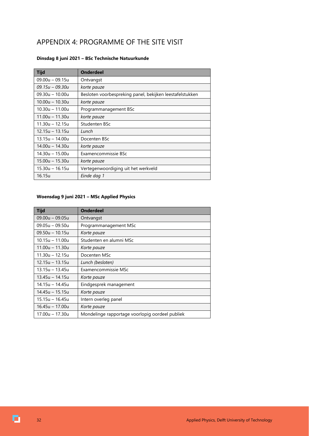## <span id="page-31-0"></span>APPENDIX 4: PROGRAMME OF THE SITE VISIT

| <b>Tijd</b>       | <b>Onderdeel</b>                                         |
|-------------------|----------------------------------------------------------|
| $09.00u - 09.15u$ | Ontvangst                                                |
| 09.15u – 09.30u   | korte pauze                                              |
| $09.30u - 10.00u$ | Besloten voorbespreking panel, bekijken leestafelstukken |
| 10.00u – 10.30u   | korte pauze                                              |
| 10.30u - 11.00u   | Programmanagement BSc                                    |
| 11.00u - 11.30u   | korte pauze                                              |
| 11.30u – 12.15u   | Studenten BSc                                            |
| $12.15u - 13.15u$ | Lunch                                                    |
| 13.15u – 14.00u   | Docenten BSc                                             |
| 14.00u – 14.30u   | korte pauze                                              |
| 14.30u – 15.00u   | Examencommissie BSc                                      |
| 15.00u - 15.30u   | korte pauze                                              |
| 15.30u - 16.15u   | Vertegenwoordiging uit het werkveld                      |
| 16.15u            | Einde dag 1                                              |

## **Dinsdag 8 juni 2021 – BSc Technische Natuurkunde**

## **Woensdag 9 juni 2021 – MSc Applied Physics**

| <b>Tijd</b>       | <b>Onderdeel</b>                                |
|-------------------|-------------------------------------------------|
| $09.00u - 09.05u$ | Ontvangst                                       |
| $09.05u - 09.50u$ | Programmanagement MSc                           |
| $09.50u - 10.15u$ | Korte pauze                                     |
| 10.15u - 11.00u   | Studenten en alumni MSc                         |
| 11.00u – 11.30u   | Korte pauze                                     |
| 11.30u – 12.15u   | Docenten MSc                                    |
| 12.15u - 13.15u   | Lunch (besloten)                                |
| 13.15u – 13.45u   | Examencommissie MSc                             |
| 13.45u – 14.15u   | Korte pauze                                     |
| 14.15u – 14.45u   | Eindgesprek management                          |
| 14.45u – 15.15u   | Korte pauze                                     |
| 15.15u – 16.45u   | Intern overleg panel                            |
| 16.45u – 17.00u   | Korte pauze                                     |
| 17.00u – 17.30u   | Mondelinge rapportage voorlopig oordeel publiek |

o